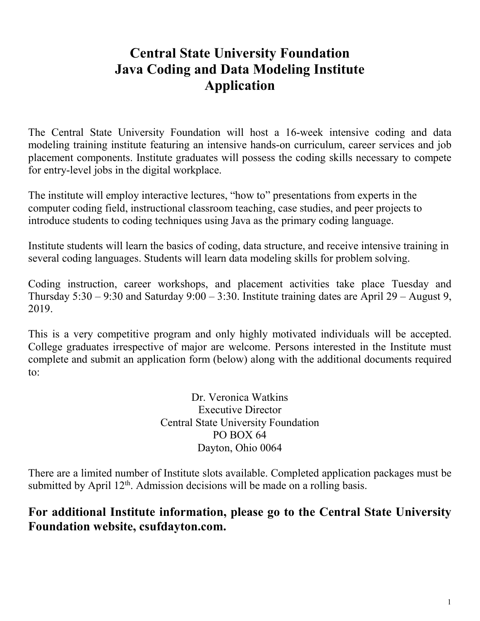# **Central State University Foundation Java Coding and Data Modeling Institute Application**

The Central State University Foundation will host a 16-week intensive coding and data modeling training institute featuring an intensive hands-on curriculum, career services and job placement components. Institute graduates will possess the coding skills necessary to compete for entry-level jobs in the digital workplace.

The institute will employ interactive lectures, "how to" presentations from experts in the computer coding field, instructional classroom teaching, case studies, and peer projects to introduce students to coding techniques using Java as the primary coding language.

Institute students will learn the basics of coding, data structure, and receive intensive training in several coding languages. Students will learn data modeling skills for problem solving.

Coding instruction, career workshops, and placement activities take place Tuesday and Thursday  $5:30 - 9:30$  and Saturday  $9:00 - 3:30$ . Institute training dates are April  $29 -$ August 9, 2019.

This is a very competitive program and only highly motivated individuals will be accepted. College graduates irrespective of major are welcome. Persons interested in the Institute must complete and submit an application form (below) along with the additional documents required to:

> Dr. Veronica Watkins Executive Director Central State University Foundation PO BOX 64 Dayton, Ohio 0064

There are a limited number of Institute slots available. Completed application packages must be submitted by April 12<sup>th</sup>. Admission decisions will be made on a rolling basis.

## **For additional Institute information, please go to the Central State University Foundation website, csufdayton.com.**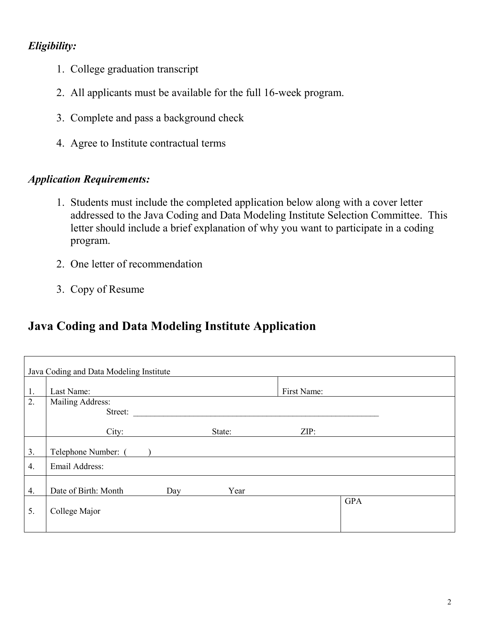### *Eligibility:*

- 1. College graduation transcript
- 2. All applicants must be available for the full 16-week program.
- 3. Complete and pass a background check
- 4. Agree to Institute contractual terms

#### *Application Requirements:*

- 1. Students must include the completed application below along with a cover letter addressed to the Java Coding and Data Modeling Institute Selection Committee. This letter should include a brief explanation of why you want to participate in a coding program.
- 2. One letter of recommendation
- 3. Copy of Resume

# **Java Coding and Data Modeling Institute Application**

| Java Coding and Data Modeling Institute |                             |     |        |             |            |  |  |
|-----------------------------------------|-----------------------------|-----|--------|-------------|------------|--|--|
| 1.                                      | Last Name:                  |     |        | First Name: |            |  |  |
| 2.                                      | Mailing Address:<br>Street: |     |        |             |            |  |  |
|                                         | City:                       |     | State: | ZIP:        |            |  |  |
| 3.                                      | Telephone Number: (         |     |        |             |            |  |  |
| 4.                                      | Email Address:              |     |        |             |            |  |  |
| 4.                                      | Date of Birth: Month        | Day | Year   |             |            |  |  |
| 5.                                      | College Major               |     |        |             | <b>GPA</b> |  |  |
|                                         |                             |     |        |             |            |  |  |